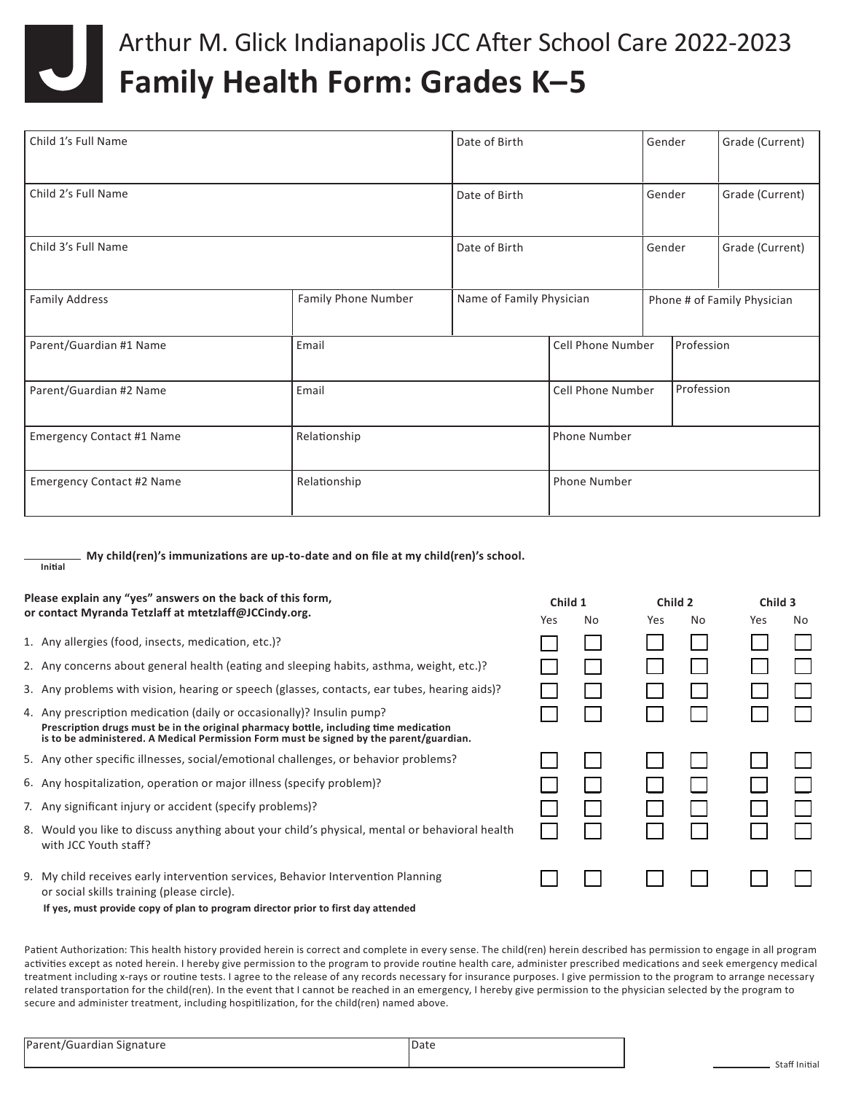

## Arthur M. Glick Indianapolis JCC After School Care 2022-2023 **Family Health Form: Grades K–5**

| Child 1's Full Name              |                     | Date of Birth            |                          | Gender                      | Grade (Current) |  |
|----------------------------------|---------------------|--------------------------|--------------------------|-----------------------------|-----------------|--|
| Child 2's Full Name              |                     | Date of Birth            |                          | Gender                      | Grade (Current) |  |
| Child 3's Full Name              |                     | Date of Birth            |                          | Gender                      | Grade (Current) |  |
| <b>Family Address</b>            | Family Phone Number | Name of Family Physician |                          | Phone # of Family Physician |                 |  |
| Parent/Guardian #1 Name          | Email               |                          | Cell Phone Number        |                             | Profession      |  |
| Parent/Guardian #2 Name          | Email               |                          | <b>Cell Phone Number</b> |                             | Profession      |  |
| <b>Emergency Contact #1 Name</b> | Relationship        |                          | Phone Number             |                             |                 |  |
| <b>Emergency Contact #2 Name</b> | Relationship        |                          | Phone Number             |                             |                 |  |

**My child(ren)'s immunizations are up-to-date and on file at my child(ren)'s school. Initial**

| Please explain any "yes" answers on the back of this form,                                                                                                                                                                                                |     | Child 1 |     | Child 2 |     | Child 3 |  |
|-----------------------------------------------------------------------------------------------------------------------------------------------------------------------------------------------------------------------------------------------------------|-----|---------|-----|---------|-----|---------|--|
| or contact Myranda Tetzlaff at mtetzlaff@JCCindy.org.                                                                                                                                                                                                     | Yes | No      | Yes | No      | Yes | No.     |  |
| 1. Any allergies (food, insects, medication, etc.)?                                                                                                                                                                                                       |     |         |     |         |     |         |  |
| 2. Any concerns about general health (eating and sleeping habits, asthma, weight, etc.)?                                                                                                                                                                  |     |         |     |         |     |         |  |
| 3. Any problems with vision, hearing or speech (glasses, contacts, ear tubes, hearing aids)?                                                                                                                                                              |     |         |     |         |     |         |  |
| 4. Any prescription medication (daily or occasionally)? Insulin pump?<br>Prescription drugs must be in the original pharmacy bottle, including time medication<br>is to be administered. A Medical Permission Form must be signed by the parent/guardian. |     |         |     |         |     |         |  |
| 5. Any other specific illnesses, social/emotional challenges, or behavior problems?                                                                                                                                                                       |     |         |     |         |     |         |  |
| 6. Any hospitalization, operation or major illness (specify problem)?                                                                                                                                                                                     |     |         |     |         |     |         |  |
| 7. Any significant injury or accident (specify problems)?                                                                                                                                                                                                 |     |         |     |         |     |         |  |
| 8. Would you like to discuss anything about your child's physical, mental or behavioral health<br>with JCC Youth staff?                                                                                                                                   |     |         |     |         |     |         |  |
| 9. My child receives early intervention services, Behavior Intervention Planning<br>or social skills training (please circle).                                                                                                                            |     |         |     |         |     |         |  |
| If yes, must provide copy of plan to program director prior to first day attended                                                                                                                                                                         |     |         |     |         |     |         |  |

Patient Authorization: This health history provided herein is correct and complete in every sense. The child(ren) herein described has permission to engage in all program activities except as noted herein. I hereby give permission to the program to provide routine health care, administer prescribed medications and seek emergency medical treatment including x-rays or routine tests. I agree to the release of any records necessary for insurance purposes. I give permission to the program to arrange necessary related transportation for the child(ren). In the event that I cannot be reached in an emergency, I hereby give permission to the physician selected by the program to secure and administer treatment, including hospitilization, for the child(ren) named above.

| Parent/Guardian Signature | Date |  |
|---------------------------|------|--|
|                           |      |  |